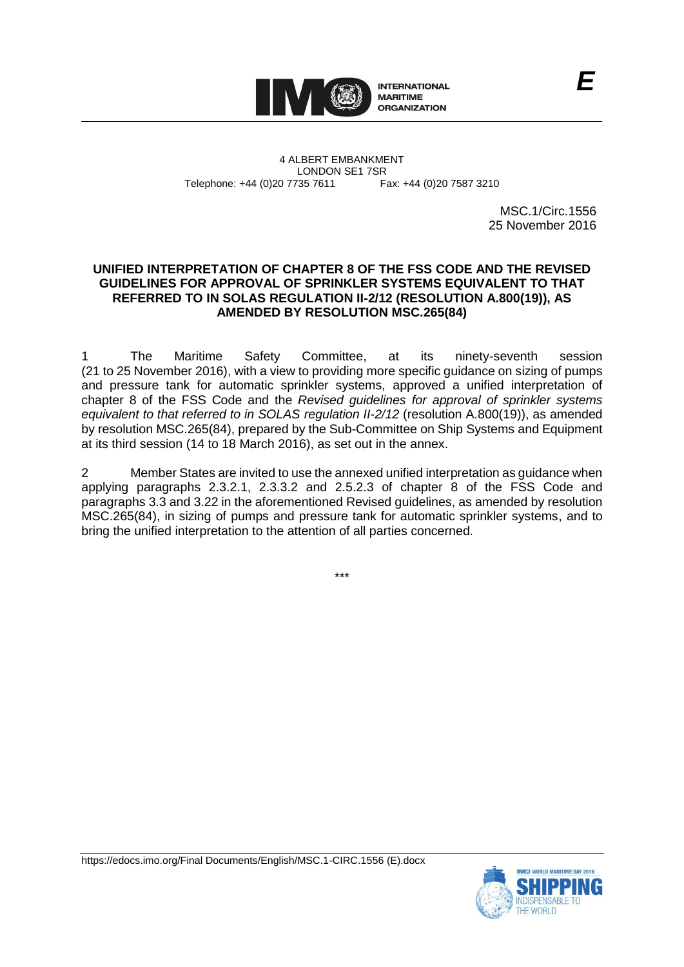

4 ALBERT EMBANKMENT Telephone: +44 (0)20 7735 7611

LONDON SE1 7SR<br>735 7611 Fax: +44 (0)20 7587 3210

MSC.1/Circ.1556 25 November 2016

*E*

## **UNIFIED INTERPRETATION OF CHAPTER 8 OF THE FSS CODE AND THE REVISED GUIDELINES FOR APPROVAL OF SPRINKLER SYSTEMS EQUIVALENT TO THAT REFERRED TO IN SOLAS REGULATION II-2/12 (RESOLUTION A.800(19)), AS AMENDED BY RESOLUTION MSC.265(84)**

1 The Maritime Safety Committee, at its ninety-seventh session (21 to 25 November 2016), with a view to providing more specific guidance on sizing of pumps and pressure tank for automatic sprinkler systems, approved a unified interpretation of chapter 8 of the FSS Code and the *Revised guidelines for approval of sprinkler systems equivalent to that referred to in SOLAS regulation II-2/12* (resolution A.800(19)), as amended by resolution MSC.265(84), prepared by the Sub-Committee on Ship Systems and Equipment at its third session (14 to 18 March 2016), as set out in the annex.

2 Member States are invited to use the annexed unified interpretation as guidance when applying paragraphs 2.3.2.1, 2.3.3.2 and 2.5.2.3 of chapter 8 of the FSS Code and paragraphs 3.3 and 3.22 in the aforementioned Revised guidelines, as amended by resolution MSC.265(84), in sizing of pumps and pressure tank for automatic sprinkler systems, and to bring the unified interpretation to the attention of all parties concerned.

\*\*\*



https://edocs.imo.org/Final Documents/English/MSC.1-CIRC.1556 (E).docx